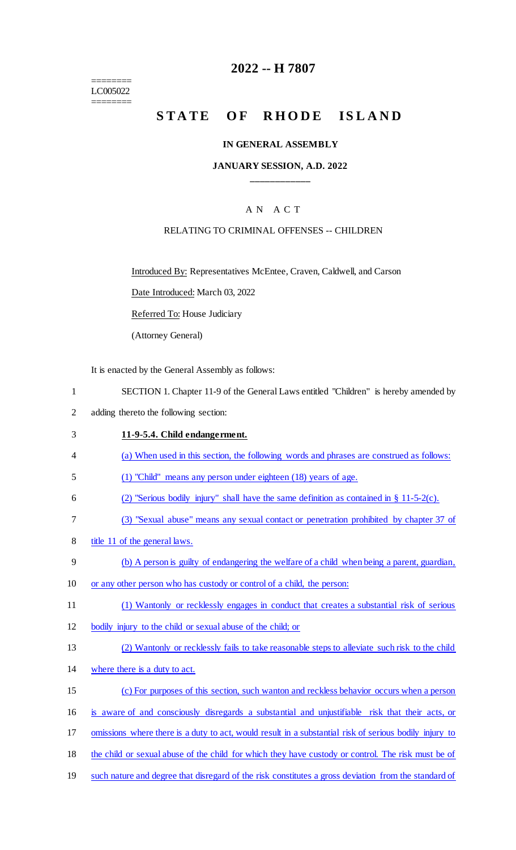======== LC005022 ========

# **2022 -- H 7807**

# STATE OF RHODE ISLAND

### **IN GENERAL ASSEMBLY**

### **JANUARY SESSION, A.D. 2022 \_\_\_\_\_\_\_\_\_\_\_\_**

# A N A C T

## RELATING TO CRIMINAL OFFENSES -- CHILDREN

Introduced By: Representatives McEntee, Craven, Caldwell, and Carson

Date Introduced: March 03, 2022

Referred To: House Judiciary

(Attorney General)

It is enacted by the General Assembly as follows:

- 1 SECTION 1. Chapter 11-9 of the General Laws entitled "Children" is hereby amended by
- 2 adding thereto the following section:

#### 3 **11-9-5.4. Child endangerment.**

- 4 (a) When used in this section, the following words and phrases are construed as follows:
- 5 (1) "Child" means any person under eighteen (18) years of age.
- 6 (2) "Serious bodily injury" shall have the same definition as contained in § 11-5-2(c).
- 7 (3) "Sexual abuse" means any sexual contact or penetration prohibited by chapter 37 of
- 8 title 11 of the general laws.
- 9 (b) A person is guilty of endangering the welfare of a child when being a parent, guardian,
- 10 or any other person who has custody or control of a child, the person:
- 11 (1) Wantonly or recklessly engages in conduct that creates a substantial risk of serious
- 12 bodily injury to the child or sexual abuse of the child; or
- 13 (2) Wantonly or recklessly fails to take reasonable steps to alleviate such risk to the child
- 14 where there is a duty to act.
- 15 (c) For purposes of this section, such wanton and reckless behavior occurs when a person
- 16 is aware of and consciously disregards a substantial and unjustifiable risk that their acts, or
- 17 omissions where there is a duty to act, would result in a substantial risk of serious bodily injury to
- 18 the child or sexual abuse of the child for which they have custody or control. The risk must be of
- 19 such nature and degree that disregard of the risk constitutes a gross deviation from the standard of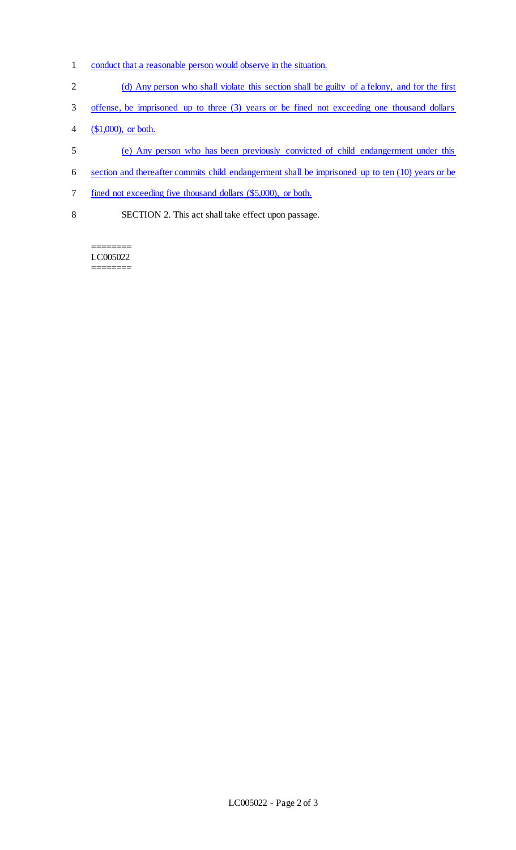- 1 conduct that a reasonable person would observe in the situation.
- 2 (d) Any person who shall violate this section shall be guilty of a felony, and for the first
- 3 offense, be imprisoned up to three (3) years or be fined not exceeding one thousand dollars
- 4 (\$1,000), or both.
- 5 (e) Any person who has been previously convicted of child endangerment under this
- 6 section and thereafter commits child endangerment shall be imprisoned up to ten (10) years or be
- 7 fined not exceeding five thousand dollars (\$5,000), or both.
- 8 SECTION 2. This act shall take effect upon passage.

LC005022 ========

========